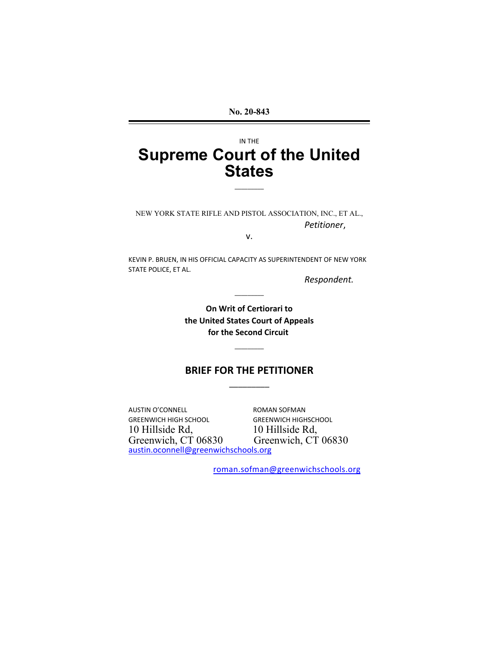**No. 20-843**

# IN THE **Supreme Court of the United States**

 $\overline{\phantom{a}}$  , we can also the contract of  $\overline{\phantom{a}}$ 

 $\overline{\phantom{a}}$  , we can also the contract of  $\overline{\phantom{a}}$ 

 $\overline{\phantom{a}}$  , we are the contract of the contract of the contract of the contract of the contract of the contract of the contract of the contract of the contract of the contract of the contract of the contract of the cont

NEW YORK STATE RIFLE AND PISTOL ASSOCIATION, INC., ET AL., *Petitioner*,

v.

KEVIN P. BRUEN, IN HIS OFFICIAL CAPACITY AS SUPERINTENDENT OF NEW YORK STATE POLICE, ET AL.

*Respondent.*

**On Writ of Certiorari to the United States Court of Appeals for the Second Circuit** 

## **BRIEF FOR THE PETITIONER**

AUSTIN O'CONNELL ROMAN SOFMAN GREENWICH HIGH SCHOOL GREENWICH HIGHSCHOOL 10 Hillside Rd,<br>
Greenwich, CT 06830 Greenwich, CT austin.oconnell@greenwichschools.org

Greenwich, CT 06830

 $\overline{\phantom{a}}$  , and the contract of the contract of the contract of the contract of the contract of the contract of the contract of the contract of the contract of the contract of the contract of the contract of the contrac

roman.sofman@greenwichschools.org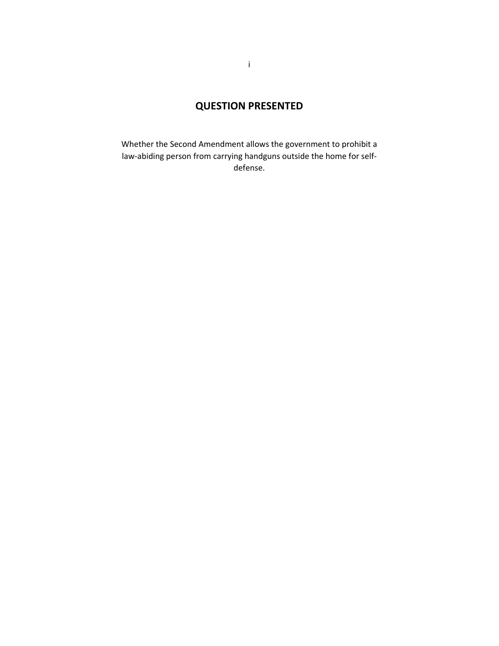# **QUESTION PRESENTED**

Whether the Second Amendment allows the government to prohibit a law-abiding person from carrying handguns outside the home for selfdefense.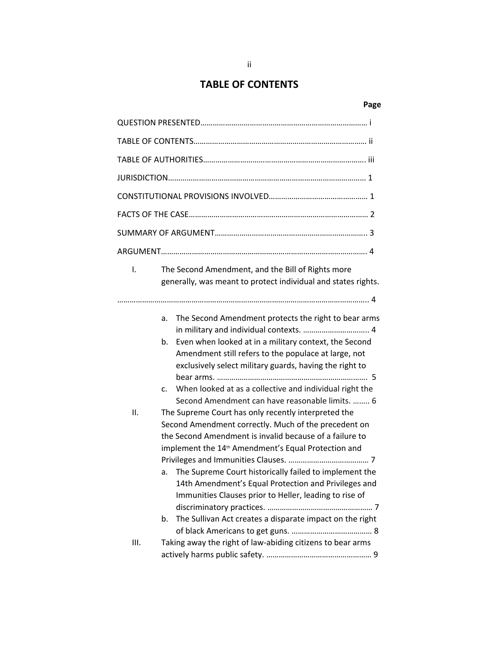## **TABLE OF CONTENTS**

## **Page**

| $\mathbf{I}$ . |                            | The Second Amendment, and the Bill of Rights more<br>generally, was meant to protect individual and states rights.                                                                                                                                                                                                                                                                                                                                                                                                                                                                                                                                                                                                                                                                                                                  |
|----------------|----------------------------|-------------------------------------------------------------------------------------------------------------------------------------------------------------------------------------------------------------------------------------------------------------------------------------------------------------------------------------------------------------------------------------------------------------------------------------------------------------------------------------------------------------------------------------------------------------------------------------------------------------------------------------------------------------------------------------------------------------------------------------------------------------------------------------------------------------------------------------|
| Ш.             | a.<br>b.<br>C.<br>a.<br>b. | The Second Amendment protects the right to bear arms<br>Even when looked at in a military context, the Second<br>Amendment still refers to the populace at large, not<br>exclusively select military guards, having the right to<br>When looked at as a collective and individual right the<br>Second Amendment can have reasonable limits.  6<br>The Supreme Court has only recently interpreted the<br>Second Amendment correctly. Much of the precedent on<br>the Second Amendment is invalid because of a failure to<br>implement the 14 <sup>th</sup> Amendment's Equal Protection and<br>The Supreme Court historically failed to implement the<br>14th Amendment's Equal Protection and Privileges and<br>Immunities Clauses prior to Heller, leading to rise of<br>The Sullivan Act creates a disparate impact on the right |
| III.           |                            | Taking away the right of law-abiding citizens to bear arms                                                                                                                                                                                                                                                                                                                                                                                                                                                                                                                                                                                                                                                                                                                                                                          |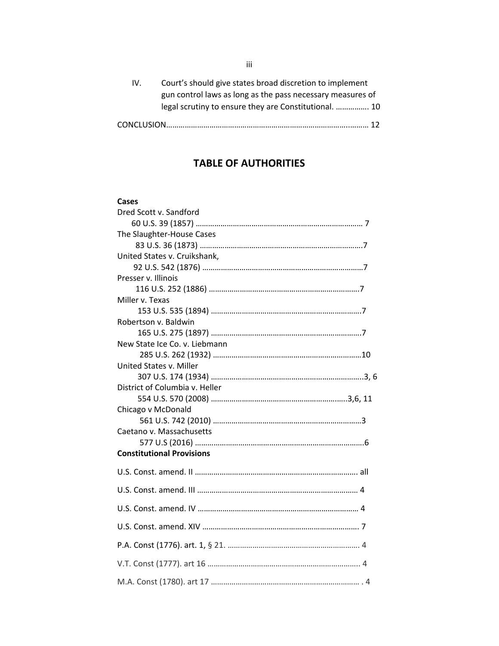| IV. | Court's should give states broad discretion to implement   |
|-----|------------------------------------------------------------|
|     | gun control laws as long as the pass necessary measures of |
|     | legal scrutiny to ensure they are Constitutional.  10      |
|     |                                                            |

## **TABLE OF AUTHORITIES**

#### **Cases**

| Dred Scott v. Sandford           |
|----------------------------------|
|                                  |
| The Slaughter-House Cases        |
|                                  |
| United States v. Cruikshank,     |
|                                  |
| Presser v. Illinois              |
|                                  |
| Miller v. Texas                  |
|                                  |
| Robertson v. Baldwin             |
|                                  |
| New State Ice Co. v. Liebmann    |
|                                  |
| United States v. Miller          |
|                                  |
| District of Columbia v. Heller   |
|                                  |
| Chicago v McDonald               |
| Caetano v. Massachusetts         |
|                                  |
| <b>Constitutional Provisions</b> |
|                                  |
|                                  |
|                                  |
|                                  |
|                                  |
|                                  |
|                                  |
|                                  |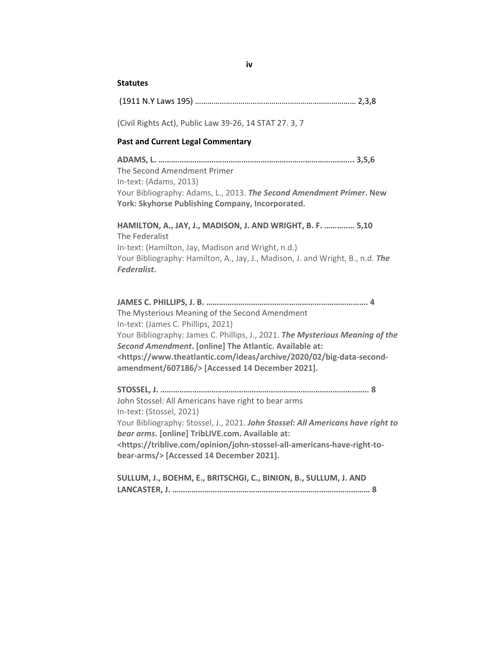#### **iv**

#### **Statutes**

(Civil Rights Act), Public Law 39-26, 14 STAT 27. 3, 7

#### **Past and Current Legal Commentary**

**ADAMS, L. ……………………………………………………………………………….. 3,5,6** The Second Amendment Primer In-text: (Adams, 2013) Your Bibliography: Adams, L., 2013. *The Second Amendment Primer***. New York: Skyhorse Publishing Company, Incorporated.**

**HAMILTON, A., JAY, J., MADISON, J. AND WRIGHT, B. F. ………..… 5,10** The Federalist In-text: (Hamilton, Jay, Madison and Wright, n.d.) Your Bibliography: Hamilton, A., Jay, J., Madison, J. and Wright, B., n.d. *The Federalist***.**

**JAMES C. PHILLIPS, J. B. …………………………………………………………………. 4** The Mysterious Meaning of the Second Amendment In-text: (James C. Phillips, 2021) Your Bibliography: James C. Phillips, J., 2021. *The Mysterious Meaning of the Second Amendment***. [online] The Atlantic. Available at: <https://www.theatlantic.com/ideas/archive/2020/02/big-data-secondamendment/607186/> [Accessed 14 December 2021].**

**STOSSEL, J. …………………………………………………………………………………….. 8** John Stossel: All Americans have right to bear arms In-text: (Stossel, 2021) Your Bibliography: Stossel, J., 2021. *John Stossel: All Americans have right to bear arms***. [online] TribLIVE.com. Available at: <https://triblive.com/opinion/john-stossel-all-americans-have-right-tobear-arms/> [Accessed 14 December 2021].**

**SULLUM, J., BOEHM, E., BRITSCHGI, C., BINION, B., SULLUM, J. AND LANCASTER, J. ………………………………………………………………………………… 8**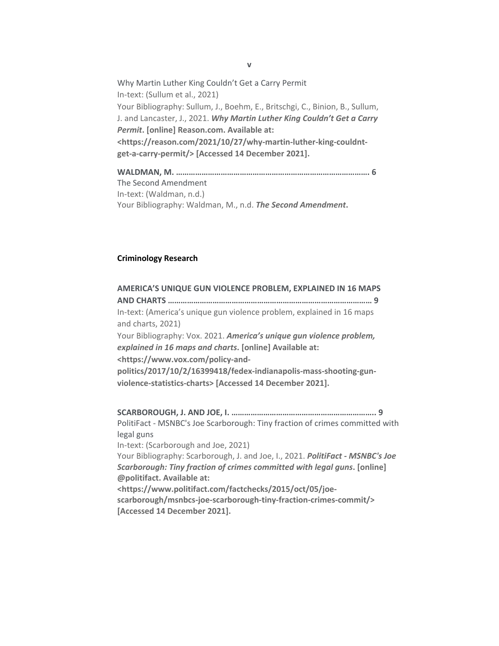Why Martin Luther King Couldn't Get a Carry Permit In-text: (Sullum et al., 2021) Your Bibliography: Sullum, J., Boehm, E., Britschgi, C., Binion, B., Sullum, J. and Lancaster, J., 2021. *Why Martin Luther King Couldn't Get a Carry Permit***. [online] Reason.com. Available at: <https://reason.com/2021/10/27/why-martin-luther-king-couldntget-a-carry-permit/> [Accessed 14 December 2021].**

**WALDMAN, M. ………………………………………………………………………………. 6** The Second Amendment In-text: (Waldman, n.d.) Your Bibliography: Waldman, M., n.d. *The Second Amendment***.**

#### **Criminology Research**

**AMERICA'S UNIQUE GUN VIOLENCE PROBLEM, EXPLAINED IN 16 MAPS AND CHARTS …………………………………………………………………………………… 9** In-text: (America's unique gun violence problem, explained in 16 maps and charts, 2021) Your Bibliography: Vox. 2021. *America's unique gun violence problem, explained in 16 maps and charts***. [online] Available at: <https://www.vox.com/policy-andpolitics/2017/10/2/16399418/fedex-indianapolis-mass-shooting-gunviolence-statistics-charts> [Accessed 14 December 2021]. SCARBOROUGH, J. AND JOE, I. ………………………………………………………….. 9** PolitiFact - MSNBC's Joe Scarborough: Tiny fraction of crimes committed with legal guns In-text: (Scarborough and Joe, 2021) Your Bibliography: Scarborough, J. and Joe, I., 2021. *PolitiFact - MSNBC's Joe Scarborough: Tiny fraction of crimes committed with legal guns***. [online] @politifact. Available at: <https://www.politifact.com/factchecks/2015/oct/05/joescarborough/msnbcs-joe-scarborough-tiny-fraction-crimes-commit/> [Accessed 14 December 2021].**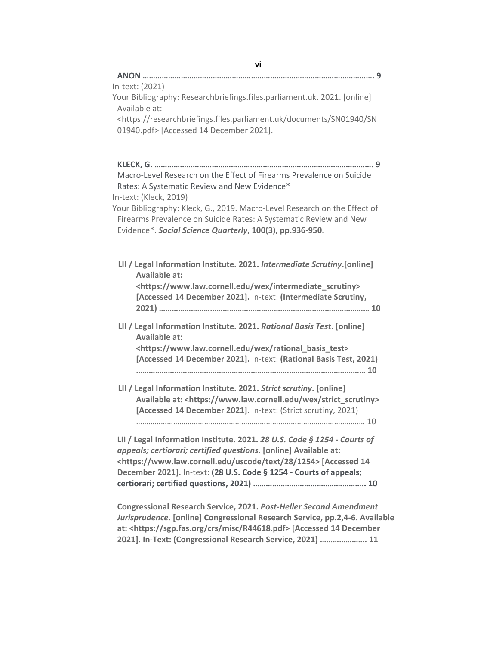| vi                                                                                                                                                       |
|----------------------------------------------------------------------------------------------------------------------------------------------------------|
|                                                                                                                                                          |
| In-text: (2021)                                                                                                                                          |
| Your Bibliography: Researchbriefings.files.parliament.uk. 2021. [online]                                                                                 |
| Available at:<br><https: documents="" researchbriefings.files.parliament.uk="" sn01940="" sn<="" td=""></https:>                                         |
| 01940.pdf> [Accessed 14 December 2021].                                                                                                                  |
|                                                                                                                                                          |
|                                                                                                                                                          |
|                                                                                                                                                          |
| Macro-Level Research on the Effect of Firearms Prevalence on Suicide                                                                                     |
| Rates: A Systematic Review and New Evidence*                                                                                                             |
| In-text: (Kleck, 2019)                                                                                                                                   |
| Your Bibliography: Kleck, G., 2019. Macro-Level Research on the Effect of                                                                                |
| Firearms Prevalence on Suicide Rates: A Systematic Review and New<br>Evidence*. Social Science Quarterly, 100(3), pp.936-950.                            |
|                                                                                                                                                          |
|                                                                                                                                                          |
| LII / Legal Information Institute. 2021. Intermediate Scrutiny.[online]                                                                                  |
| Available at:                                                                                                                                            |
| <https: intermediate_scrutiny="" wex="" www.law.cornell.edu=""></https:>                                                                                 |
| [Accessed 14 December 2021]. In-text: (Intermediate Scrutiny,                                                                                            |
|                                                                                                                                                          |
| LII / Legal Information Institute. 2021. Rational Basis Test. [online]                                                                                   |
| <b>Available at:</b>                                                                                                                                     |
| <https: rational_basis_test="" wex="" www.law.cornell.edu=""></https:>                                                                                   |
| [Accessed 14 December 2021]. In-text: (Rational Basis Test, 2021)                                                                                        |
|                                                                                                                                                          |
| LII / Legal Information Institute. 2021. Strict scrutiny. [online]                                                                                       |
| Available at: <https: strict_scrutiny="" wex="" www.law.cornell.edu=""></https:>                                                                         |
| [Accessed 14 December 2021]. In-text: (Strict scrutiny, 2021)                                                                                            |
|                                                                                                                                                          |
| LII / Legal Information Institute. 2021. 28 U.S. Code § 1254 - Courts of                                                                                 |
| appeals; certiorari; certified questions. [online] Available at:                                                                                         |
| <https: 1254="" 28="" text="" uscode="" www.law.cornell.edu=""> [Accessed 14</https:>                                                                    |
| December 2021]. In-text: (28 U.S. Code § 1254 - Courts of appeals;                                                                                       |
|                                                                                                                                                          |
|                                                                                                                                                          |
| <b>Congressional Research Service, 2021. Post-Heller Second Amendment</b><br>Jurisprudence. [online] Congressional Research Service, pp.2,4-6. Available |
| at: <https: crs="" misc="" r44618.pdf="" sgp.fas.org=""> [Accessed 14 December</https:>                                                                  |
|                                                                                                                                                          |

**2021]. In-Text: (Congressional Research Service, 2021) …………………. 11**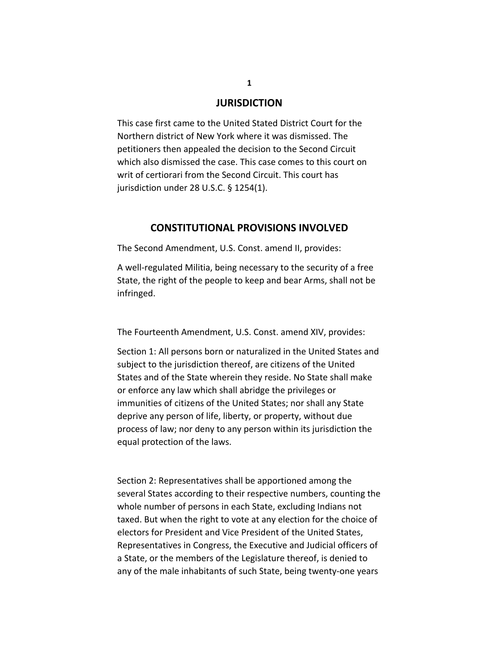### **JURISDICTION**

This case first came to the United Stated District Court for the Northern district of New York where it was dismissed. The petitioners then appealed the decision to the Second Circuit which also dismissed the case. This case comes to this court on writ of certiorari from the Second Circuit. This court has jurisdiction under 28 U.S.C. § 1254(1).

### **CONSTITUTIONAL PROVISIONS INVOLVED**

The Second Amendment, U.S. Const. amend II, provides:

A well-regulated Militia, being necessary to the security of a free State, the right of the people to keep and bear Arms, shall not be infringed.

The Fourteenth Amendment, U.S. Const. amend XIV, provides:

Section 1: All persons born or naturalized in the United States and subject to the jurisdiction thereof, are citizens of the United States and of the State wherein they reside. No State shall make or enforce any law which shall abridge the privileges or immunities of citizens of the United States; nor shall any State deprive any person of life, liberty, or property, without due process of law; nor deny to any person within its jurisdiction the equal protection of the laws.

Section 2: Representatives shall be apportioned among the several States according to their respective numbers, counting the whole number of persons in each State, excluding Indians not taxed. But when the right to vote at any election for the choice of electors for President and Vice President of the United States, Representatives in Congress, the Executive and Judicial officers of a State, or the members of the Legislature thereof, is denied to any of the male inhabitants of such State, being twenty-one years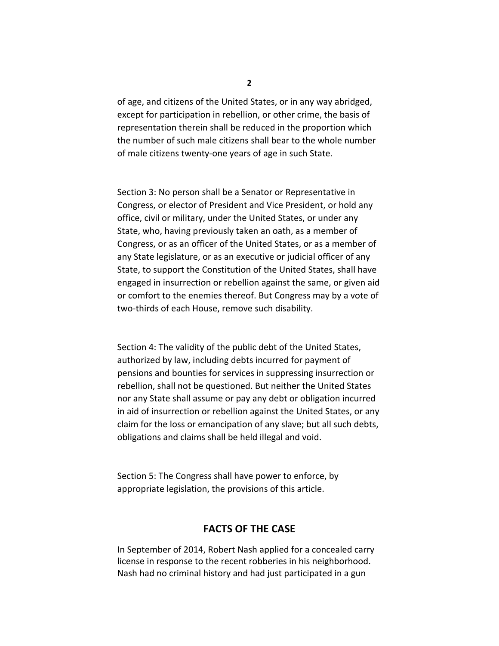of age, and citizens of the United States, or in any way abridged, except for participation in rebellion, or other crime, the basis of representation therein shall be reduced in the proportion which the number of such male citizens shall bear to the whole number of male citizens twenty-one years of age in such State.

Section 3: No person shall be a Senator or Representative in Congress, or elector of President and Vice President, or hold any office, civil or military, under the United States, or under any State, who, having previously taken an oath, as a member of Congress, or as an officer of the United States, or as a member of any State legislature, or as an executive or judicial officer of any State, to support the Constitution of the United States, shall have engaged in insurrection or rebellion against the same, or given aid or comfort to the enemies thereof. But Congress may by a vote of two-thirds of each House, remove such disability.

Section 4: The validity of the public debt of the United States, authorized by law, including debts incurred for payment of pensions and bounties for services in suppressing insurrection or rebellion, shall not be questioned. But neither the United States nor any State shall assume or pay any debt or obligation incurred in aid of insurrection or rebellion against the United States, or any claim for the loss or emancipation of any slave; but all such debts, obligations and claims shall be held illegal and void.

Section 5: The Congress shall have power to enforce, by appropriate legislation, the provisions of this article.

## **FACTS OF THE CASE**

In September of 2014, Robert Nash applied for a concealed carry license in response to the recent robberies in his neighborhood. Nash had no criminal history and had just participated in a gun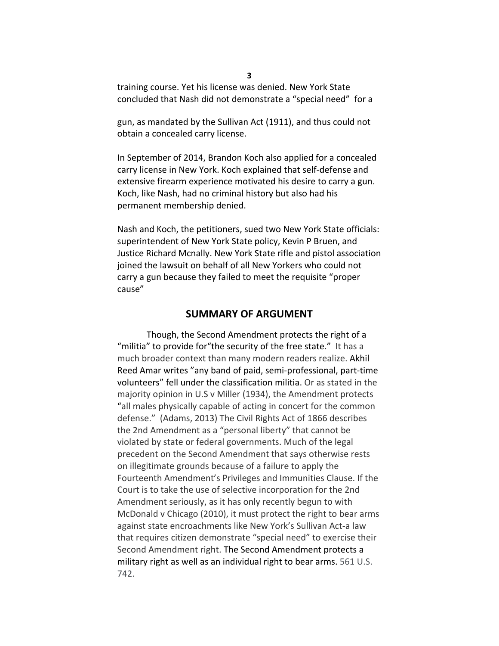training course. Yet his license was denied. New York State concluded that Nash did not demonstrate a "special need" for a

gun, as mandated by the Sullivan Act (1911), and thus could not obtain a concealed carry license.

In September of 2014, Brandon Koch also applied for a concealed carry license in New York. Koch explained that self-defense and extensive firearm experience motivated his desire to carry a gun. Koch, like Nash, had no criminal history but also had his permanent membership denied.

Nash and Koch, the petitioners, sued two New York State officials: superintendent of New York State policy, Kevin P Bruen, and Justice Richard Mcnally. New York State rifle and pistol association joined the lawsuit on behalf of all New Yorkers who could not carry a gun because they failed to meet the requisite "proper cause"

### **SUMMARY OF ARGUMENT**

Though, the Second Amendment protects the right of a "militia" to provide for"the security of the free state." It has a much broader context than many modern readers realize. Akhil Reed Amar writes "any band of paid, semi-professional, part-time volunteers" fell under the classification militia. Or as stated in the majority opinion in U.S v Miller (1934), the Amendment protects "all males physically capable of acting in concert for the common defense." (Adams, 2013) The Civil Rights Act of 1866 describes the 2nd Amendment as a "personal liberty" that cannot be violated by state or federal governments. Much of the legal precedent on the Second Amendment that says otherwise rests on illegitimate grounds because of a failure to apply the Fourteenth Amendment's Privileges and Immunities Clause. If the Court is to take the use of selective incorporation for the 2nd Amendment seriously, as it has only recently begun to with McDonald v Chicago (2010), it must protect the right to bear arms against state encroachments like New York's Sullivan Act-a law that requires citizen demonstrate "special need" to exercise their Second Amendment right. The Second Amendment protects a military right as well as an individual right to bear arms. 561 U.S. 742.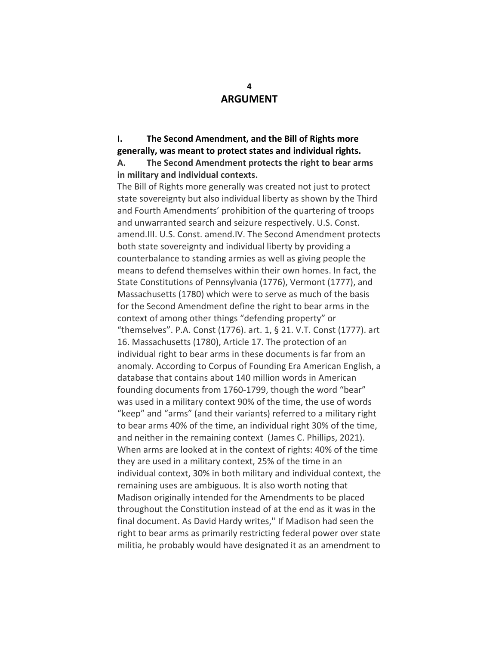## **ARGUMENT**

**I. The Second Amendment, and the Bill of Rights more generally, was meant to protect states and individual rights. A. The Second Amendment protects the right to bear arms in military and individual contexts.** 

The Bill of Rights more generally was created not just to protect state sovereignty but also individual liberty as shown by the Third and Fourth Amendments' prohibition of the quartering of troops and unwarranted search and seizure respectively. U.S. Const. amend.III. U.S. Const. amend.IV. The Second Amendment protects both state sovereignty and individual liberty by providing a counterbalance to standing armies as well as giving people the means to defend themselves within their own homes. In fact, the State Constitutions of Pennsylvania (1776), Vermont (1777), and Massachusetts (1780) which were to serve as much of the basis for the Second Amendment define the right to bear arms in the context of among other things "defending property" or "themselves". P.A. Const (1776). art. 1, § 21. V.T. Const (1777). art 16. Massachusetts (1780), Article 17. The protection of an individual right to bear arms in these documents is far from an anomaly. According to Corpus of Founding Era American English, a database that contains about 140 million words in American founding documents from 1760-1799, though the word "bear" was used in a military context 90% of the time, the use of words "keep" and "arms" (and their variants) referred to a military right to bear arms 40% of the time, an individual right 30% of the time, and neither in the remaining context (James C. Phillips, 2021). When arms are looked at in the context of rights: 40% of the time they are used in a military context, 25% of the time in an individual context, 30% in both military and individual context, the remaining uses are ambiguous. It is also worth noting that Madison originally intended for the Amendments to be placed throughout the Constitution instead of at the end as it was in the final document. As David Hardy writes,'' If Madison had seen the right to bear arms as primarily restricting federal power over state militia, he probably would have designated it as an amendment to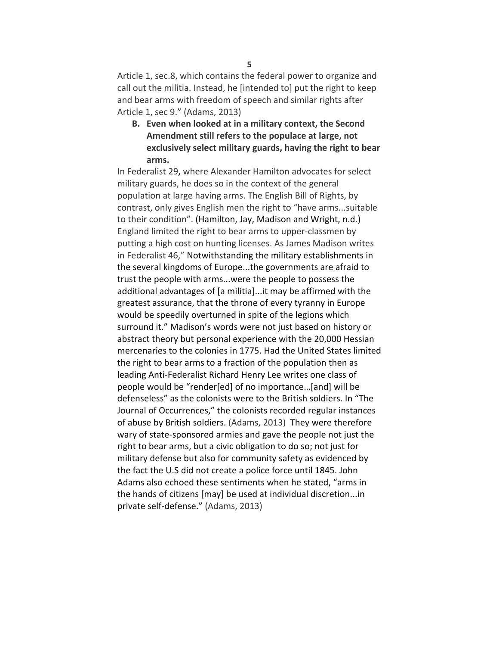Article 1, sec.8, which contains the federal power to organize and call out the militia. Instead, he [intended to] put the right to keep and bear arms with freedom of speech and similar rights after Article 1, sec 9." (Adams, 2013)

**B. Even when looked at in a military context, the Second Amendment still refers to the populace at large, not exclusively select military guards, having the right to bear arms.**

In Federalist 29**,** where Alexander Hamilton advocates for select military guards, he does so in the context of the general population at large having arms. The English Bill of Rights, by contrast, only gives English men the right to "have arms...suitable to their condition". (Hamilton, Jay, Madison and Wright, n.d.) England limited the right to bear arms to upper-classmen by putting a high cost on hunting licenses. As James Madison writes in Federalist 46," Notwithstanding the military establishments in the several kingdoms of Europe...the governments are afraid to trust the people with arms...were the people to possess the additional advantages of [a militia]...it may be affirmed with the greatest assurance, that the throne of every tyranny in Europe would be speedily overturned in spite of the legions which surround it." Madison's words were not just based on history or abstract theory but personal experience with the 20,000 Hessian mercenaries to the colonies in 1775. Had the United States limited the right to bear arms to a fraction of the population then as leading Anti-Federalist Richard Henry Lee writes one class of people would be "render[ed] of no importance…[and] will be defenseless" as the colonists were to the British soldiers. In "The Journal of Occurrences," the colonists recorded regular instances of abuse by British soldiers. (Adams, 2013) They were therefore wary of state-sponsored armies and gave the people not just the right to bear arms, but a civic obligation to do so; not just for military defense but also for community safety as evidenced by the fact the U.S did not create a police force until 1845. John Adams also echoed these sentiments when he stated, "arms in the hands of citizens [may] be used at individual discretion...in private self-defense." (Adams, 2013)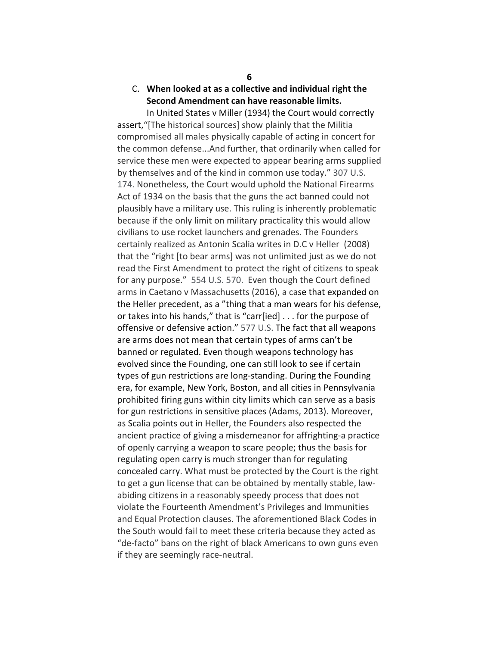## C. **When looked at as a collective and individual right the Second Amendment can have reasonable limits.**

In United States v Miller (1934) the Court would correctly assert,"[The historical sources] show plainly that the Militia compromised all males physically capable of acting in concert for the common defense...And further, that ordinarily when called for service these men were expected to appear bearing arms supplied by themselves and of the kind in common use today." 307 U.S. 174. Nonetheless, the Court would uphold the National Firearms Act of 1934 on the basis that the guns the act banned could not plausibly have a military use. This ruling is inherently problematic because if the only limit on military practicality this would allow civilians to use rocket launchers and grenades. The Founders certainly realized as Antonin Scalia writes in D.C v Heller(2008) that the "right [to bear arms] was not unlimited just as we do not read the First Amendment to protect the right of citizens to speak for any purpose." 554 U.S. 570. Even though the Court defined arms in Caetano v Massachusetts (2016), a case that expanded on the Heller precedent, as a "thing that a man wears for his defense, or takes into his hands," that is "carr[ied] . . . for the purpose of offensive or defensive action." 577 U.S. The fact that all weapons are arms does not mean that certain types of arms can't be banned or regulated. Even though weapons technology has evolved since the Founding, one can still look to see if certain types of gun restrictions are long-standing. During the Founding era, for example, New York, Boston, and all cities in Pennsylvania prohibited firing guns within city limits which can serve as a basis for gun restrictions in sensitive places (Adams, 2013). Moreover, as Scalia points out in Heller, the Founders also respected the ancient practice of giving a misdemeanor for affrighting-a practice of openly carrying a weapon to scare people; thus the basis for regulating open carry is much stronger than for regulating concealed carry. What must be protected by the Court is the right to get a gun license that can be obtained by mentally stable, lawabiding citizens in a reasonably speedy process that does not violate the Fourteenth Amendment's Privileges and Immunities and Equal Protection clauses. The aforementioned Black Codes in the South would fail to meet these criteria because they acted as "de-facto" bans on the right of black Americans to own guns even if they are seemingly race-neutral.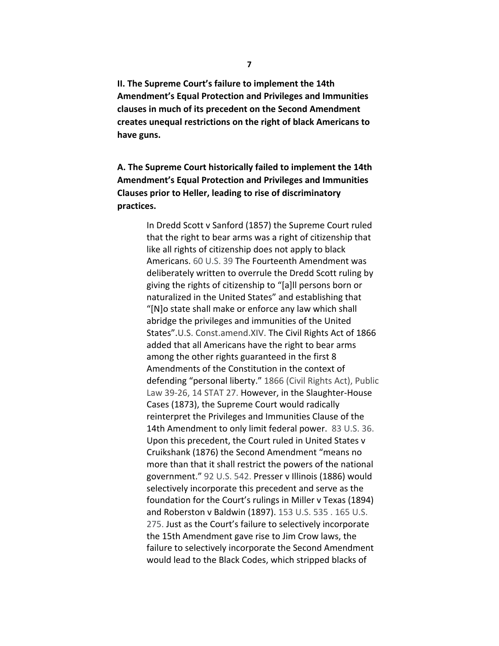**II. The Supreme Court's failure to implement the 14th Amendment's Equal Protection and Privileges and Immunities clauses in much of its precedent on the Second Amendment creates unequal restrictions on the right of black Americans to have guns.**

**A. The Supreme Court historically failed to implement the 14th Amendment's Equal Protection and Privileges and Immunities Clauses prior to Heller, leading to rise of discriminatory practices.** 

> In Dredd Scott v Sanford (1857) the Supreme Court ruled that the right to bear arms was a right of citizenship that like all rights of citizenship does not apply to black Americans. 60 U.S. 39 The Fourteenth Amendment was deliberately written to overrule the Dredd Scott ruling by giving the rights of citizenship to "[a]ll persons born or naturalized in the United States" and establishing that "[N]o state shall make or enforce any law which shall abridge the privileges and immunities of the United States".U.S. Const.amend.XIV. The Civil Rights Act of 1866 added that all Americans have the right to bear arms among the other rights guaranteed in the first 8 Amendments of the Constitution in the context of defending "personal liberty." 1866 (Civil Rights Act), Public Law 39-26, 14 STAT 27. However, in the Slaughter-House Cases (1873), the Supreme Court would radically reinterpret the Privileges and Immunities Clause of the 14th Amendment to only limit federal power. 83 U.S. 36. Upon this precedent, the Court ruled in United States v Cruikshank (1876) the Second Amendment "means no more than that it shall restrict the powers of the national government." 92 U.S. 542. Presser v Illinois (1886) would selectively incorporate this precedent and serve as the foundation for the Court's rulings in Miller v Texas (1894) and Roberston v Baldwin (1897). 153 U.S. 535 . 165 U.S. 275. Just as the Court's failure to selectively incorporate the 15th Amendment gave rise to Jim Crow laws, the failure to selectively incorporate the Second Amendment would lead to the Black Codes, which stripped blacks of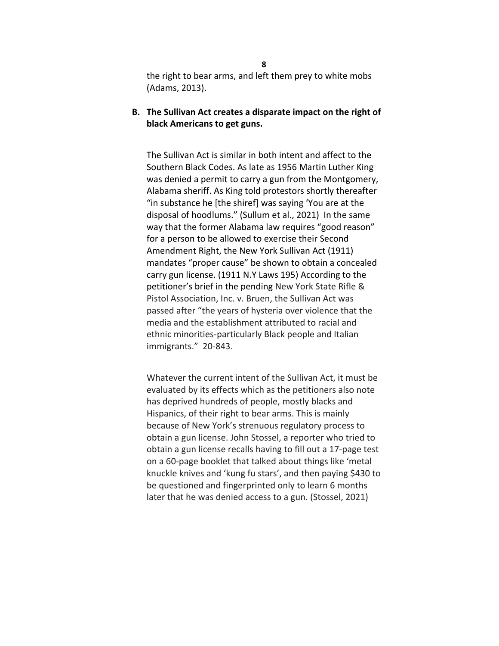the right to bear arms, and left them prey to white mobs (Adams, 2013).

**B. The Sullivan Act creates a disparate impact on the right of black Americans to get guns.**

The Sullivan Act is similar in both intent and affect to the Southern Black Codes. As late as 1956 Martin Luther King was denied a permit to carry a gun from the Montgomery, Alabama sheriff. As King told protestors shortly thereafter "in substance he [the shiref] was saying 'You are at the disposal of hoodlums." (Sullum et al., 2021) In the same way that the former Alabama law requires "good reason" for a person to be allowed to exercise their Second Amendment Right, the New York Sullivan Act (1911) mandates "proper cause" be shown to obtain a concealed carry gun license. (1911 N.Y Laws 195) According to the petitioner's brief in the pending New York State Rifle & Pistol Association, Inc. v. Bruen, the Sullivan Act was passed after "the years of hysteria over violence that the media and the establishment attributed to racial and ethnic minorities-particularly Black people and Italian immigrants." 20-843.

Whatever the current intent of the Sullivan Act, it must be evaluated by its effects which as the petitioners also note has deprived hundreds of people, mostly blacks and Hispanics, of their right to bear arms. This is mainly because of New York's strenuous regulatory process to obtain a gun license. John Stossel, a reporter who tried to obtain a gun license recalls having to fill out a 17-page test on a 60-page booklet that talked about things like 'metal knuckle knives and 'kung fu stars', and then paying \$430 to be questioned and fingerprinted only to learn 6 months later that he was denied access to a gun. (Stossel, 2021)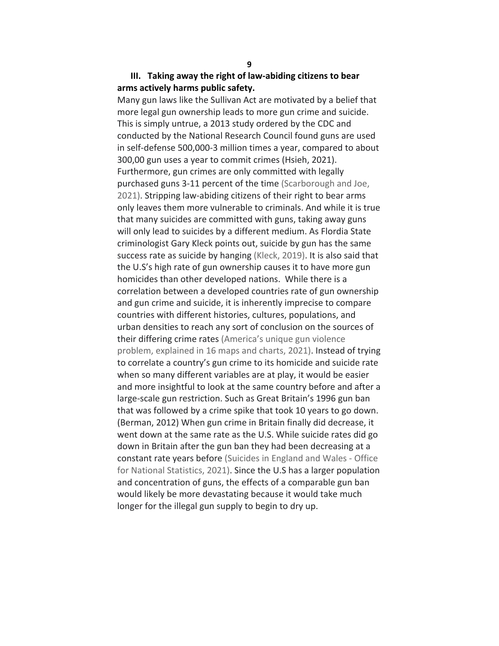## **III. Taking away the right of law-abiding citizens to bear arms actively harms public safety.**

Many gun laws like the Sullivan Act are motivated by a belief that more legal gun ownership leads to more gun crime and suicide. This is simply untrue, a 2013 study ordered by the CDC and conducted by the National Research Council found guns are used in self-defense 500,000-3 million times a year, compared to about 300,00 gun uses a year to commit crimes (Hsieh, 2021). Furthermore, gun crimes are only committed with legally purchased guns 3-11 percent of the time (Scarborough and Joe, 2021). Stripping law-abiding citizens of their right to bear arms only leaves them more vulnerable to criminals. And while it is true that many suicides are committed with guns, taking away guns will only lead to suicides by a different medium. As Flordia State criminologist Gary Kleck points out, suicide by gun has the same success rate as suicide by hanging (Kleck, 2019). It is also said that the U.S's high rate of gun ownership causes it to have more gun homicides than other developed nations. While there is a correlation between a developed countries rate of gun ownership and gun crime and suicide, it is inherently imprecise to compare countries with different histories, cultures, populations, and urban densities to reach any sort of conclusion on the sources of their differing crime rates (America's unique gun violence problem, explained in 16 maps and charts, 2021). Instead of trying to correlate a country's gun crime to its homicide and suicide rate when so many different variables are at play, it would be easier and more insightful to look at the same country before and after a large-scale gun restriction. Such as Great Britain's 1996 gun ban that was followed by a crime spike that took 10 years to go down. (Berman, 2012) When gun crime in Britain finally did decrease, it went down at the same rate as the U.S. While suicide rates did go down in Britain after the gun ban they had been decreasing at a constant rate years before (Suicides in England and Wales - Office for National Statistics, 2021). Since the U.S has a larger population and concentration of guns, the effects of a comparable gun ban would likely be more devastating because it would take much longer for the illegal gun supply to begin to dry up.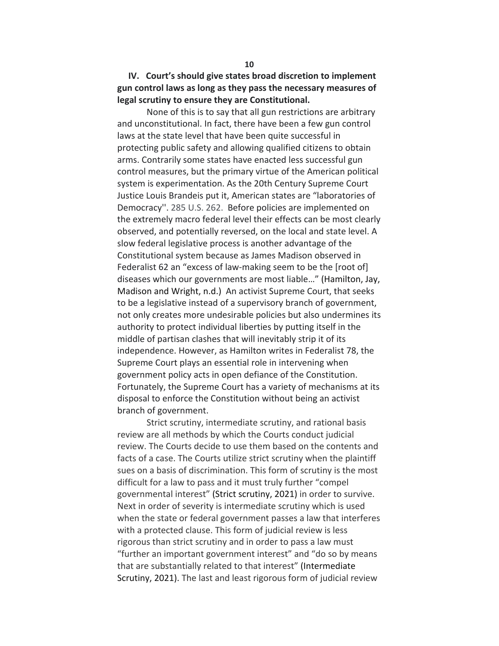## **IV. Court's should give states broad discretion to implement gun control laws as long as they pass the necessary measures of legal scrutiny to ensure they are Constitutional.**

None of this is to say that all gun restrictions are arbitrary and unconstitutional. In fact, there have been a few gun control laws at the state level that have been quite successful in protecting public safety and allowing qualified citizens to obtain arms. Contrarily some states have enacted less successful gun control measures, but the primary virtue of the American political system is experimentation. As the 20th Century Supreme Court Justice Louis Brandeis put it, American states are "laboratories of Democracy''. 285 U.S. 262. Before policies are implemented on the extremely macro federal level their effects can be most clearly observed, and potentially reversed, on the local and state level. A slow federal legislative process is another advantage of the Constitutional system because as James Madison observed in Federalist 62 an "excess of law-making seem to be the [root of] diseases which our governments are most liable…" (Hamilton, Jay, Madison and Wright, n.d.) An activist Supreme Court, that seeks to be a legislative instead of a supervisory branch of government, not only creates more undesirable policies but also undermines its authority to protect individual liberties by putting itself in the middle of partisan clashes that will inevitably strip it of its independence. However, as Hamilton writes in Federalist 78, the Supreme Court plays an essential role in intervening when government policy acts in open defiance of the Constitution. Fortunately, the Supreme Court has a variety of mechanisms at its disposal to enforce the Constitution without being an activist branch of government.

Strict scrutiny, intermediate scrutiny, and rational basis review are all methods by which the Courts conduct judicial review. The Courts decide to use them based on the contents and facts of a case. The Courts utilize strict scrutiny when the plaintiff sues on a basis of discrimination. This form of scrutiny is the most difficult for a law to pass and it must truly further "compel governmental interest" (Strict scrutiny, 2021) in order to survive. Next in order of severity is intermediate scrutiny which is used when the state or federal government passes a law that interferes with a protected clause. This form of judicial review is less rigorous than strict scrutiny and in order to pass a law must "further an important government interest" and "do so by means that are substantially related to that interest" (Intermediate Scrutiny, 2021). The last and least rigorous form of judicial review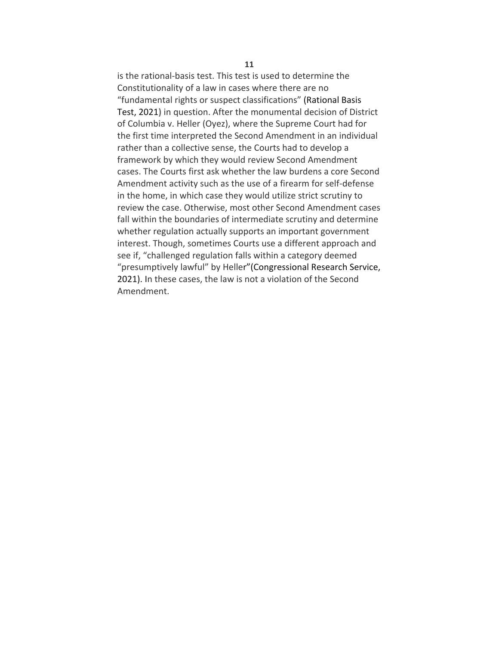is the rational-basis test. This test is used to determine the Constitutionality of a law in cases where there are no "fundamental rights or suspect classifications" (Rational Basis Test, 2021**)** in question. After the monumental decision of District of Columbia v. Heller (Oyez), where the Supreme Court had for the first time interpreted the Second Amendment in an individual rather than a collective sense, the Courts had to develop a framework by which they would review Second Amendment cases. The Courts first ask whether the law burdens a core Second Amendment activity such as the use of a firearm for self-defense in the home, in which case they would utilize strict scrutiny to review the case. Otherwise, most other Second Amendment cases fall within the boundaries of intermediate scrutiny and determine whether regulation actually supports an important government interest. Though, sometimes Courts use a different approach and see if, "challenged regulation falls within a category deemed "presumptively lawful" by Heller"(Congressional Research Service, 2021). In these cases, the law is not a violation of the Second Amendment.